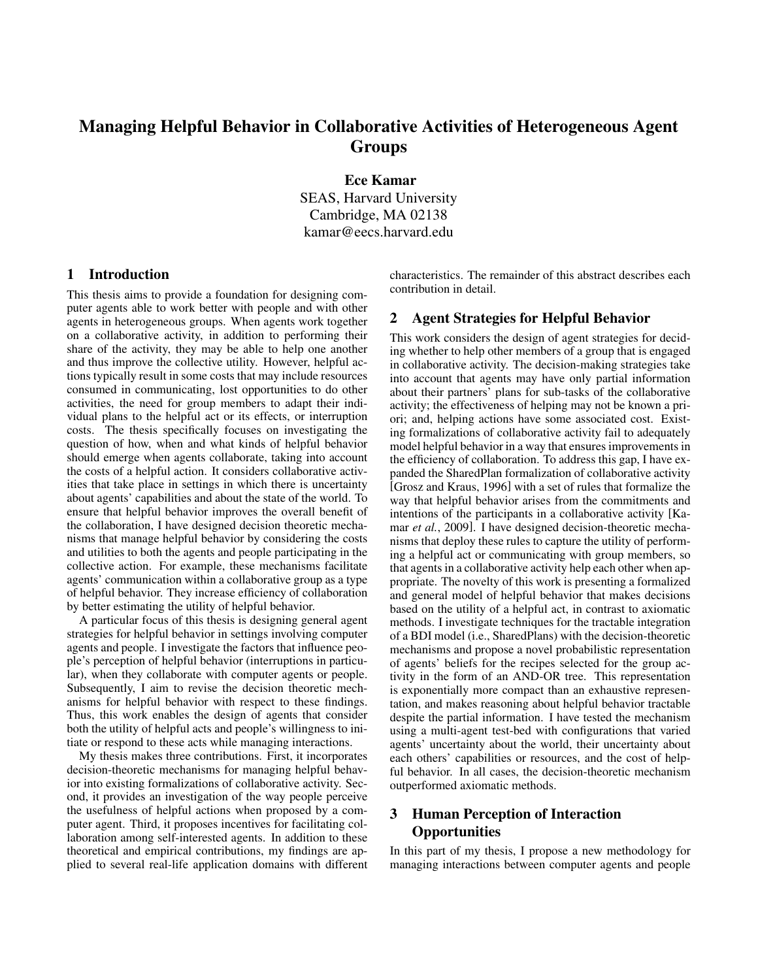# Managing Helpful Behavior in Collaborative Activities of Heterogeneous Agent Groups

Ece Kamar SEAS, Harvard University Cambridge, MA 02138 kamar@eecs.harvard.edu

## 1 Introduction

This thesis aims to provide a foundation for designing computer agents able to work better with people and with other agents in heterogeneous groups. When agents work together on a collaborative activity, in addition to performing their share of the activity, they may be able to help one another and thus improve the collective utility. However, helpful actions typically result in some costs that may include resources consumed in communicating, lost opportunities to do other activities, the need for group members to adapt their individual plans to the helpful act or its effects, or interruption costs. The thesis specifically focuses on investigating the question of how, when and what kinds of helpful behavior should emerge when agents collaborate, taking into account the costs of a helpful action. It considers collaborative activities that take place in settings in which there is uncertainty about agents' capabilities and about the state of the world. To ensure that helpful behavior improves the overall benefit of the collaboration, I have designed decision theoretic mechanisms that manage helpful behavior by considering the costs and utilities to both the agents and people participating in the collective action. For example, these mechanisms facilitate agents' communication within a collaborative group as a type of helpful behavior. They increase efficiency of collaboration by better estimating the utility of helpful behavior.

A particular focus of this thesis is designing general agent strategies for helpful behavior in settings involving computer agents and people. I investigate the factors that influence people's perception of helpful behavior (interruptions in particular), when they collaborate with computer agents or people. Subsequently, I aim to revise the decision theoretic mechanisms for helpful behavior with respect to these findings. Thus, this work enables the design of agents that consider both the utility of helpful acts and people's willingness to initiate or respond to these acts while managing interactions.

My thesis makes three contributions. First, it incorporates decision-theoretic mechanisms for managing helpful behavior into existing formalizations of collaborative activity. Second, it provides an investigation of the way people perceive the usefulness of helpful actions when proposed by a computer agent. Third, it proposes incentives for facilitating collaboration among self-interested agents. In addition to these theoretical and empirical contributions, my findings are applied to several real-life application domains with different characteristics. The remainder of this abstract describes each contribution in detail.

#### 2 Agent Strategies for Helpful Behavior

This work considers the design of agent strategies for deciding whether to help other members of a group that is engaged in collaborative activity. The decision-making strategies take into account that agents may have only partial information about their partners' plans for sub-tasks of the collaborative activity; the effectiveness of helping may not be known a priori; and, helping actions have some associated cost. Existing formalizations of collaborative activity fail to adequately model helpful behavior in a way that ensures improvements in the efficiency of collaboration. To address this gap, I have expanded the SharedPlan formalization of collaborative activity [Grosz and Kraus, 1996] with a set of rules that formalize the way that helpful behavior arises from the commitments and intentions of the participants in a collaborative activity [Kamar *et al.*, 2009]. I have designed decision-theoretic mechanisms that deploy these rules to capture the utility of performing a helpful act or communicating with group members, so that agents in a collaborative activity help each other when appropriate. The novelty of this work is presenting a formalized and general model of helpful behavior that makes decisions based on the utility of a helpful act, in contrast to axiomatic methods. I investigate techniques for the tractable integration of a BDI model (i.e., SharedPlans) with the decision-theoretic mechanisms and propose a novel probabilistic representation of agents' beliefs for the recipes selected for the group activity in the form of an AND-OR tree. This representation is exponentially more compact than an exhaustive representation, and makes reasoning about helpful behavior tractable despite the partial information. I have tested the mechanism using a multi-agent test-bed with configurations that varied agents' uncertainty about the world, their uncertainty about each others' capabilities or resources, and the cost of helpful behavior. In all cases, the decision-theoretic mechanism outperformed axiomatic methods.

## 3 Human Perception of Interaction **Opportunities**

In this part of my thesis, I propose a new methodology for managing interactions between computer agents and people